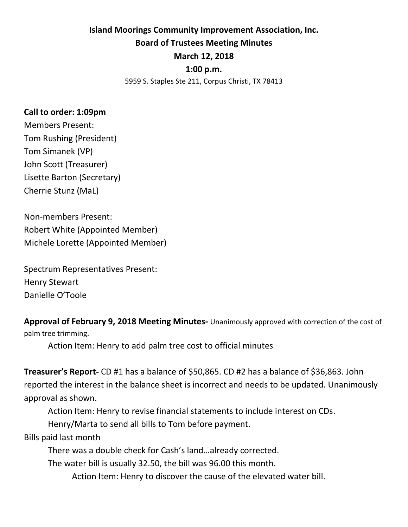# **Island Moorings Community Improvement Association, Inc. Board of Trustees Meeting Minutes March 12, 2018 1:00 p.m.** 5959 S. Staples Ste 211, Corpus Christi, TX 78413

Members Present: Tom Rushing (President) Tom Simanek (VP) John Scott (Treasurer) Lisette Barton (Secretary) Cherrie Stunz (MaL)

**Call to order: 1:09pm**

Non-members Present: Robert White (Appointed Member) Michele Lorette (Appointed Member)

Spectrum Representatives Present: Henry Stewart Danielle O'Toole

**Approval of February 9, 2018 Meeting Minutes-** Unanimously approved with correction of the cost of palm tree trimming.

Action Item: Henry to add palm tree cost to official minutes

**Treasurer's Report-** CD #1 has a balance of \$50,865. CD #2 has a balance of \$36,863. John reported the interest in the balance sheet is incorrect and needs to be updated. Unanimously approval as shown.

Action Item: Henry to revise financial statements to include interest on CDs.

Henry/Marta to send all bills to Tom before payment.

Bills paid last month

There was a double check for Cash's land…already corrected.

The water bill is usually 32.50, the bill was 96.00 this month.

Action Item: Henry to discover the cause of the elevated water bill.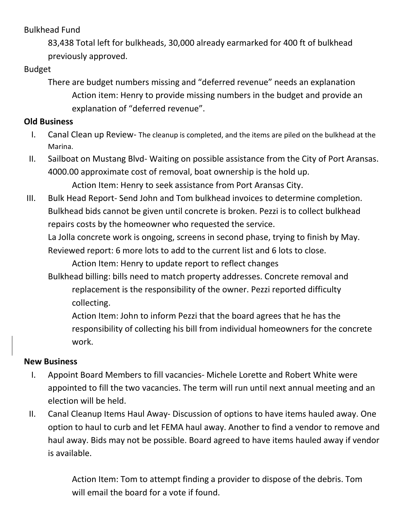Bulkhead Fund

83,438 Total left for bulkheads, 30,000 already earmarked for 400 ft of bulkhead previously approved.

Budget

There are budget numbers missing and "deferred revenue" needs an explanation Action item: Henry to provide missing numbers in the budget and provide an explanation of "deferred revenue".

### **Old Business**

- I. Canal Clean up Review- The cleanup is completed, and the items are piled on the bulkhead at the Marina.
- II. Sailboat on Mustang Blvd- Waiting on possible assistance from the City of Port Aransas. 4000.00 approximate cost of removal, boat ownership is the hold up.

Action Item: Henry to seek assistance from Port Aransas City.

III. Bulk Head Report- Send John and Tom bulkhead invoices to determine completion. Bulkhead bids cannot be given until concrete is broken. Pezzi is to collect bulkhead repairs costs by the homeowner who requested the service.

La Jolla concrete work is ongoing, screens in second phase, trying to finish by May. Reviewed report: 6 more lots to add to the current list and 6 lots to close.

Action Item: Henry to update report to reflect changes

Bulkhead billing: bills need to match property addresses. Concrete removal and replacement is the responsibility of the owner. Pezzi reported difficulty collecting.

Action Item: John to inform Pezzi that the board agrees that he has the responsibility of collecting his bill from individual homeowners for the concrete work.

# **New Business**

- I. Appoint Board Members to fill vacancies- Michele Lorette and Robert White were appointed to fill the two vacancies. The term will run until next annual meeting and an election will be held.
- II. Canal Cleanup Items Haul Away- Discussion of options to have items hauled away. One option to haul to curb and let FEMA haul away. Another to find a vendor to remove and haul away. Bids may not be possible. Board agreed to have items hauled away if vendor is available.

Action Item: Tom to attempt finding a provider to dispose of the debris. Tom will email the board for a vote if found.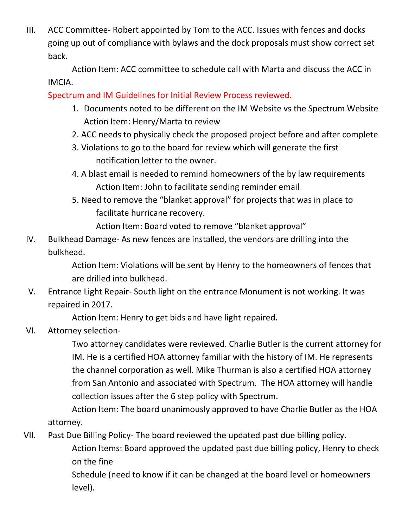III. ACC Committee- Robert appointed by Tom to the ACC. Issues with fences and docks going up out of compliance with bylaws and the dock proposals must show correct set back.

Action Item: ACC committee to schedule call with Marta and discuss the ACC in IMCIA.

Spectrum and IM Guidelines for Initial Review Process reviewed.

- 1. Documents noted to be different on the IM Website vs the Spectrum Website Action Item: Henry/Marta to review
- 2. ACC needs to physically check the proposed project before and after complete
- 3. Violations to go to the board for review which will generate the first notification letter to the owner.
- 4. A blast email is needed to remind homeowners of the by law requirements Action Item: John to facilitate sending reminder email
- 5. Need to remove the "blanket approval" for projects that was in place to facilitate hurricane recovery.

Action Item: Board voted to remove "blanket approval"

IV. Bulkhead Damage- As new fences are installed, the vendors are drilling into the bulkhead.

> Action Item: Violations will be sent by Henry to the homeowners of fences that are drilled into bulkhead.

V. Entrance Light Repair- South light on the entrance Monument is not working. It was repaired in 2017.

Action Item: Henry to get bids and have light repaired.

VI. Attorney selection-

Two attorney candidates were reviewed. Charlie Butler is the current attorney for IM. He is a certified HOA attorney familiar with the history of IM. He represents the channel corporation as well. Mike Thurman is also a certified HOA attorney from San Antonio and associated with Spectrum. The HOA attorney will handle collection issues after the 6 step policy with Spectrum.

Action Item: The board unanimously approved to have Charlie Butler as the HOA attorney.

VII. Past Due Billing Policy- The board reviewed the updated past due billing policy.

Action Items: Board approved the updated past due billing policy, Henry to check on the fine

Schedule (need to know if it can be changed at the board level or homeowners level).